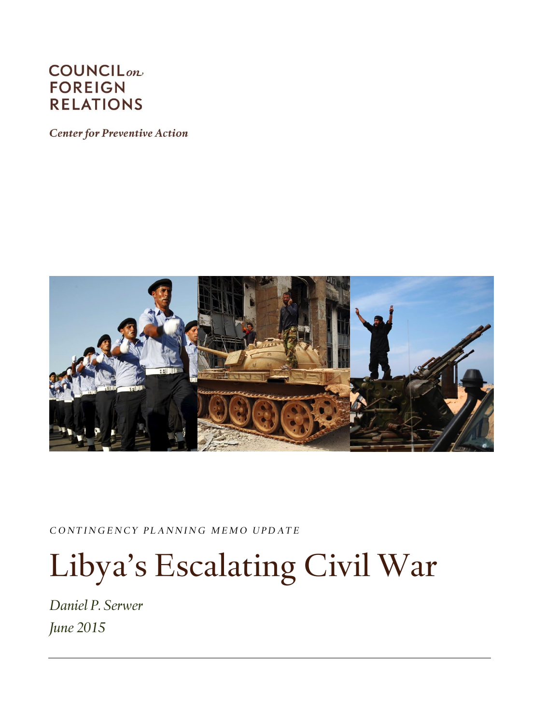## **COUNCIL**<sub>on</sub> **FOREIGN RELATIONS**

**Center for Preventive Action** 



*C O N T I N G E N C Y P L A N N I N G M E M O U P D A T E*

# Libya's Escalating Civil War

*Daniel P. Serwer June 2015*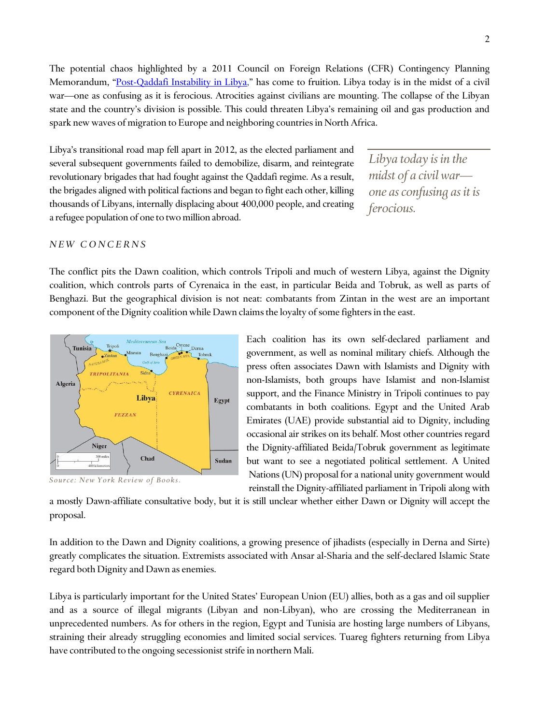The potential chaos highlighted by a 2011 Council on Foreign Relations (CFR) Contingency Planning Memorandum, "[Post-Qaddafi Instability in Libya,](http://www.cfr.org/libya/post-qaddafi-instability-libya/p25612)" has come to fruition. Libya today is in the midst of a civil war—one as confusing as it is ferocious. Atrocities against civilians are mounting. The collapse of the Libyan state and the country's division is possible. This could threaten Libya's remaining oil and gas production and spark new waves of migration to Europe and neighboring countries in North Africa.

Libya's transitional road map fell apart in 2012, as the elected parliament and several subsequent governments failed to demobilize, disarm, and reintegrate revolutionary brigades that had fought against the Qaddafi regime. As a result, the brigades aligned with political factions and began to fight each other, killing thousands of Libyans, internally displacing about 400,000 people, and creating a refugee population of one to two million abroad.

*Libya today is in the midst of a civil war one as confusing as it is ferocious.* 

### *N E W C O N C E R N S*

The conflict pits the Dawn coalition, which controls Tripoli and much of western Libya, against the Dignity coalition, which controls parts of Cyrenaica in the east, in particular Beida and Tobruk, as well as parts of Benghazi. But the geographical division is not neat: combatants from Zintan in the west are an important component of the Dignity coalition while Dawn claims the loyalty of some fighters in the east.



Source: New York Review of Books.

Each coalition has its own self-declared parliament and government, as well as nominal military chiefs. Although the press often associates Dawn with Islamists and Dignity with non-Islamists, both groups have Islamist and non-Islamist support, and the Finance Ministry in Tripoli continues to pay combatants in both coalitions. Egypt and the United Arab Emirates (UAE) provide substantial aid to Dignity, including occasional air strikes on its behalf. Most other countries regard the Dignity-affiliated Beida/Tobruk government as legitimate but want to see a negotiated political settlement. A United Nations (UN) proposal for a national unity government would reinstall the Dignity-affiliated parliament in Tripoli along with

a mostly Dawn-affiliate consultative body, but it is still unclear whether either Dawn or Dignity will accept the proposal.

In addition to the Dawn and Dignity coalitions, a growing presence of jihadists (especially in Derna and Sirte) greatly complicates the situation. Extremists associated with Ansar al-Sharia and the self-declared Islamic State regard both Dignity and Dawn as enemies.

Libya is particularly important for the United States' European Union (EU) allies, both as a gas and oil supplier and as a source of illegal migrants (Libyan and non-Libyan), who are crossing the Mediterranean in unprecedented numbers. As for others in the region, Egypt and Tunisia are hosting large numbers of Libyans, straining their already struggling economies and limited social services. Tuareg fighters returning from Libya have contributed to the ongoing secessionist strife in northern Mali.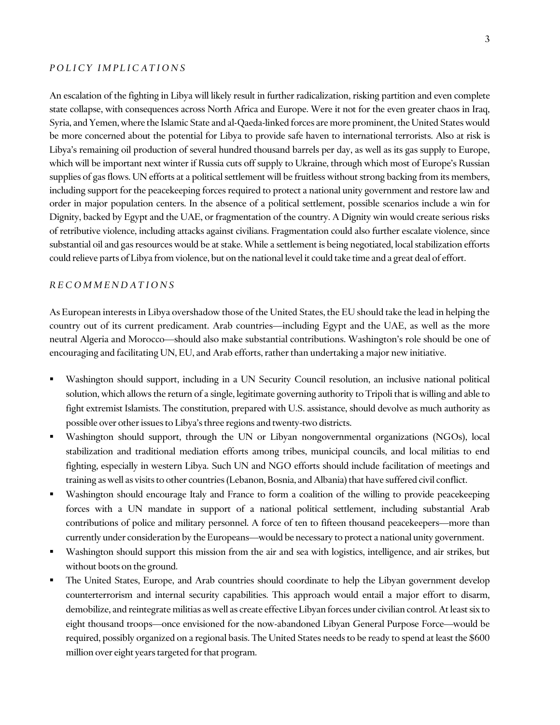#### *P O L I C Y I M P L I C A T I O N S*

An escalation of the fighting in Libya will likely result in further radicalization, risking partition and even complete state collapse, with consequences across North Africa and Europe. Were it not for the even greater chaos in Iraq, Syria, and Yemen, where the Islamic State and al-Qaeda-linked forces are more prominent, the United States would be more concerned about the potential for Libya to provide safe haven to international terrorists. Also at risk is Libya's remaining oil production of several hundred thousand barrels per day, as well as its gas supply to Europe, which will be important next winter if Russia cuts off supply to Ukraine, through which most of Europe's Russian supplies of gas flows. UN efforts at a political settlement will be fruitless without strong backing from its members, including support for the peacekeeping forces required to protect a national unity government and restore law and order in major population centers. In the absence of a political settlement, possible scenarios include a win for Dignity, backed by Egypt and the UAE, or fragmentation of the country. A Dignity win would create serious risks of retributive violence, including attacks against civilians. Fragmentation could also further escalate violence, since substantial oil and gas resources would be at stake. While a settlement is being negotiated, local stabilization efforts could relieve parts of Libya from violence, but on the national level it could take time and a great deal of effort.

#### *R E C O M M E N D A T I O N S*

As European interests in Libya overshadow those of the United States, the EU should take the lead in helping the country out of its current predicament. Arab countries—including Egypt and the UAE, as well as the more neutral Algeria and Morocco—should also make substantial contributions. Washington's role should be one of encouraging and facilitating UN, EU, and Arab efforts, rather than undertaking a major new initiative.

- Washington should support, including in a UN Security Council resolution, an inclusive national political solution, which allows the return of a single, legitimate governing authority to Tripoli that is willing and able to fight extremist Islamists. The constitution, prepared with U.S. assistance, should devolve as much authority as possible over other issues to Libya's three regions and twenty-two districts.
- Washington should support, through the UN or Libyan nongovernmental organizations (NGOs), local stabilization and traditional mediation efforts among tribes, municipal councils, and local militias to end fighting, especially in western Libya. Such UN and NGO efforts should include facilitation of meetings and training as well as visits to other countries (Lebanon, Bosnia, and Albania) that have suffered civil conflict.
- Washington should encourage Italy and France to form a coalition of the willing to provide peacekeeping forces with a UN mandate in support of a national political settlement, including substantial Arab contributions of police and military personnel. A force of ten to fifteen thousand peacekeepers—more than currently under consideration by the Europeans—would be necessary to protect a national unity government.
- Washington should support this mission from the air and sea with logistics, intelligence, and air strikes, but without boots on the ground.
- The United States, Europe, and Arab countries should coordinate to help the Libyan government develop counterterrorism and internal security capabilities. This approach would entail a major effort to disarm, demobilize, and reintegrate militias as well as create effective Libyan forces under civilian control. At least six to eight thousand troops—once envisioned for the now-abandoned Libyan General Purpose Force—would be required, possibly organized on a regional basis. The United States needs to be ready to spend at least the \$600 million over eight years targeted for that program.